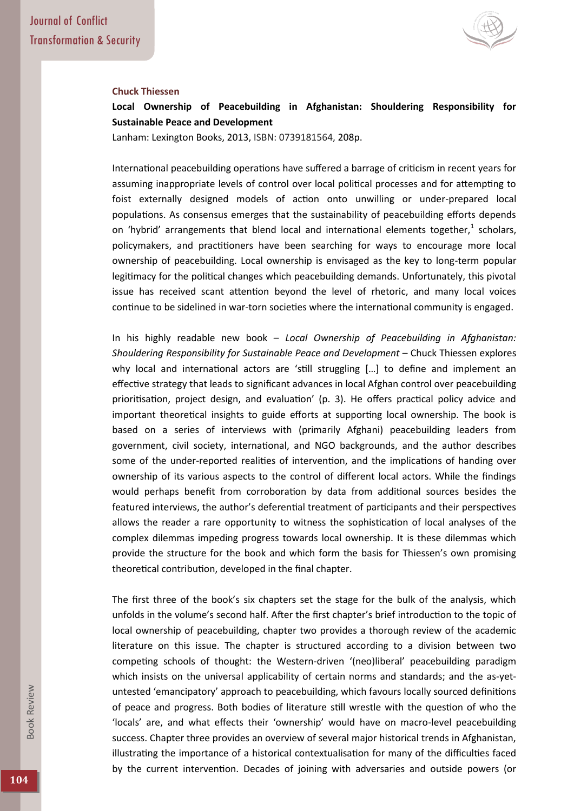

## **Chuck Thiessen**

**Local Ownership of Peacebuilding in Afghanistan: Shouldering Responsibility for Sustainable Peace and Development** 

Lanham: Lexington Books, 2013, ISBN: 0739181564, 208p.

International peacebuilding operations have suffered a barrage of criticism in recent years for assuming inappropriate levels of control over local political processes and for attempting to foist externally designed models of action onto unwilling or under-prepared local populations. As consensus emerges that the sustainability of peacebuilding efforts depends on 'hybrid' arrangements that blend local and international elements together, $<sup>1</sup>$  scholars,</sup> policymakers, and practitioners have been searching for ways to encourage more local ownership of peacebuilding. Local ownership is envisaged as the key to long-term popular legitimacy for the political changes which peacebuilding demands. Unfortunately, this pivotal issue has received scant attention beyond the level of rhetoric, and many local voices continue to be sidelined in war-torn societies where the international community is engaged.

In his highly readable new book – *Local Ownership of Peacebuilding in Afghanistan: Shouldering Responsibility for Sustainable Peace and Development* – Chuck Thiessen explores why local and international actors are 'still struggling  $[...]$  to define and implement an effective strategy that leads to significant advances in local Afghan control over peacebuilding prioritisation, project design, and evaluation' (p. 3). He offers practical policy advice and important theoretical insights to guide efforts at supporting local ownership. The book is based on a series of interviews with (primarily Afghani) peacebuilding leaders from government, civil society, international, and NGO backgrounds, and the author describes some of the under-reported realities of intervention, and the implications of handing over ownership of its various aspects to the control of different local actors. While the findings would perhaps benefit from corroboration by data from additional sources besides the featured interviews, the author's deferential treatment of participants and their perspectives allows the reader a rare opportunity to witness the sophistication of local analyses of the complex dilemmas impeding progress towards local ownership. It is these dilemmas which provide the structure for the book and which form the basis for Thiessen's own promising theoretical contribution, developed in the final chapter.

The first three of the book's six chapters set the stage for the bulk of the analysis, which unfolds in the volume's second half. After the first chapter's brief introduction to the topic of local ownership of peacebuilding, chapter two provides a thorough review of the academic literature on this issue. The chapter is structured according to a division between two competing schools of thought: the Western-driven '(neo)liberal' peacebuilding paradigm which insists on the universal applicability of certain norms and standards; and the as-yetuntested 'emancipatory' approach to peacebuilding, which favours locally sourced definitions of peace and progress. Both bodies of literature still wrestle with the question of who the 'locals' are, and what effects their 'ownership' would have on macro-level peacebuilding success. Chapter three provides an overview of several major historical trends in Afghanistan, illustrating the importance of a historical contextualisation for many of the difficulties faced by the current intervention. Decades of joining with adversaries and outside powers (or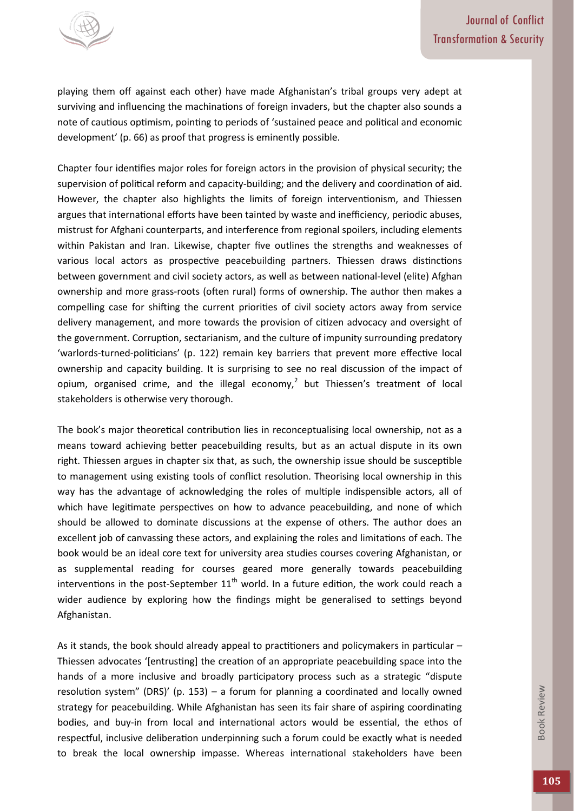

playing them off against each other) have made Afghanistan's tribal groups very adept at surviving and influencing the machinations of foreign invaders, but the chapter also sounds a note of cautious optimism, pointing to periods of 'sustained peace and political and economic development' (p. 66) as proof that progress is eminently possible.

Chapter four identifies major roles for foreign actors in the provision of physical security; the supervision of political reform and capacity-building; and the delivery and coordination of aid. However, the chapter also highlights the limits of foreign interventionism, and Thiessen argues that international efforts have been tainted by waste and inefficiency, periodic abuses, mistrust for Afghani counterparts, and interference from regional spoilers, including elements within Pakistan and Iran. Likewise, chapter five outlines the strengths and weaknesses of various local actors as prospective peacebuilding partners. Thiessen draws distinctions between government and civil society actors, as well as between national-level (elite) Afghan ownership and more grass-roots (often rural) forms of ownership. The author then makes a compelling case for shifting the current priorities of civil society actors away from service delivery management, and more towards the provision of citizen advocacy and oversight of the government. Corruption, sectarianism, and the culture of impunity surrounding predatory 'warlords-turned-politicians' (p. 122) remain key barriers that prevent more effective local ownership and capacity building. It is surprising to see no real discussion of the impact of opium, organised crime, and the illegal economy,<sup>2</sup> but Thiessen's treatment of local stakeholders is otherwise very thorough.

The book's major theoretical contribution lies in reconceptualising local ownership, not as a means toward achieving better peacebuilding results, but as an actual dispute in its own right. Thiessen argues in chapter six that, as such, the ownership issue should be susceptible to management using existing tools of conflict resolution. Theorising local ownership in this way has the advantage of acknowledging the roles of multiple indispensible actors, all of which have legitimate perspectives on how to advance peacebuilding, and none of which should be allowed to dominate discussions at the expense of others. The author does an excellent job of canvassing these actors, and explaining the roles and limitations of each. The book would be an ideal core text for university area studies courses covering Afghanistan, or as supplemental reading for courses geared more generally towards peacebuilding interventions in the post-September  $11<sup>th</sup>$  world. In a future edition, the work could reach a wider audience by exploring how the findings might be generalised to settings beyond Afghanistan.

As it stands, the book should already appeal to practitioners and policymakers in particular – Thiessen advocates '[entrusting] the creation of an appropriate peacebuilding space into the hands of a more inclusive and broadly participatory process such as a strategic "dispute resolution system" (DRS)' (p. 153) – a forum for planning a coordinated and locally owned strategy for peacebuilding. While Afghanistan has seen its fair share of aspiring coordinating bodies, and buy-in from local and international actors would be essential, the ethos of respectful, inclusive deliberation underpinning such a forum could be exactly what is needed to break the local ownership impasse. Whereas international stakeholders have been